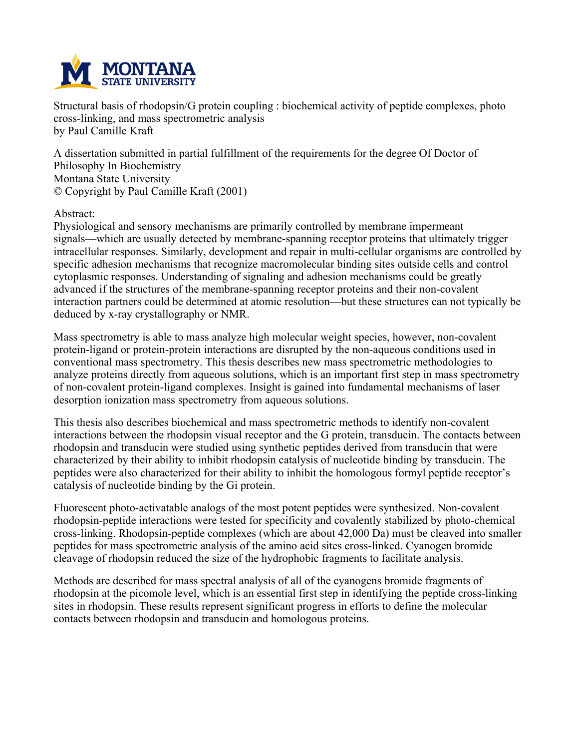

**Structural basis of rhodopsin/G protein coupling : biochemical activity of peptide complexes, photo cross-linking, and mass spectrometric analysis by Paul Camille Kraft**

**A dissertation submitted in partial fulfillment of the requirements for the degree Of Doctor of Philosophy In Biochemistry Montana State University © Copyright by Paul Camille Kraft (2001)**

**Abstract:**

**Physiological and sensory mechanisms are primarily controlled by membrane impermeant signals—which are usually detected by membrane-spanning receptor proteins that ultimately trigger intracellular responses. Similarly, development and repair in multi-cellular organisms are controlled by specific adhesion mechanisms that recognize macromolecular binding sites outside cells and control cytoplasmic responses. Understanding of signaling and adhesion mechanisms could be greatly advanced if the structures of the membrane-spanning receptor proteins and their non-covalent interaction partners could be determined at atomic resolution—but these structures can not typically be deduced by x-ray crystallography or NMR.**

**Mass spectrometry is able to mass analyze high molecular weight species, however, non-covalent protein-ligand or protein-protein interactions are disrupted by the non-aqueous conditions used in conventional mass spectrometry. This thesis describes new mass spectrometric methodologies to analyze proteins directly from aqueous solutions, which is an important first step in mass spectrometry of non-covalent protein-ligand complexes. Insight is gained into fundamental mechanisms of laser desorption ionization mass spectrometry from aqueous solutions.**

**This thesis also describes biochemical and mass spectrometric methods to identify non-covalent interactions between the rhodopsin visual receptor and the G protein, transducin. The contacts between rhodopsin and transducin were studied using synthetic peptides derived from transducin that were characterized by their ability to inhibit rhodopsin catalysis of nucleotide binding by transducin. The peptides were also characterized for their ability to inhibit the homologous formyl peptide receptor's catalysis of nucleotide binding by the Gi protein.**

**Fluorescent photo-activatable analogs of the most potent peptides were synthesized. Non-covalent rhodopsin-peptide interactions were tested for specificity and covalently stabilized by photo-chemical cross-linking. Rhodopsin-peptide complexes (which are about 42,000 Da) must be cleaved into smaller peptides for mass spectrometric analysis of the amino acid sites cross-linked. Cyanogen bromide cleavage of rhodopsin reduced the size of the hydrophobic fragments to facilitate analysis.**

**Methods are described for mass spectral analysis of all of the cyanogens bromide fragments of rhodopsin at the picomole level, which is an essential first step in identifying the peptide cross-linking sites in rhodopsin. These results represent significant progress in efforts to define the molecular contacts between rhodopsin and transducin and homologous proteins.**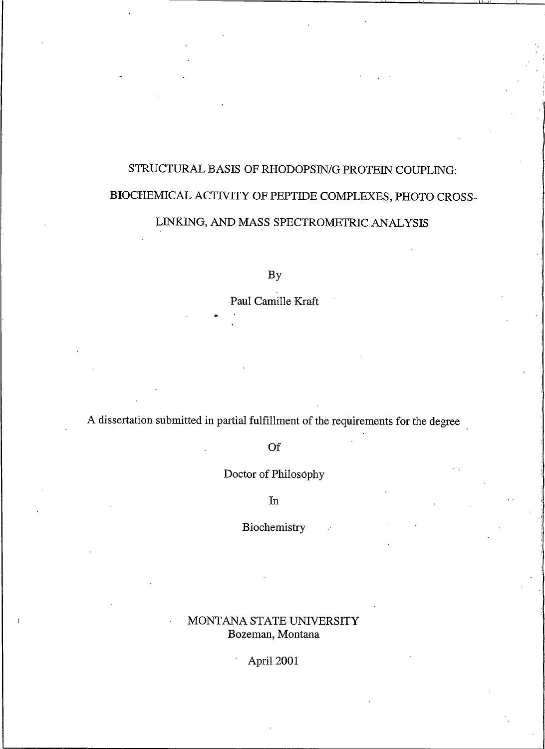# STRUCTURAL BASIS OF RHODOPSIN/G PROTEIN COUPLING: BIOCHEMICAL ACTIVITY OF PEPTIDE COMPLEXES, PHOTO CROSS-LINKING, AND MASS SPECTROMETRIC ANALYSIS

 $By$ 

Paul Camille Kraft

A dissertation submitted in partial fulfillment of the requirements for the degree

Of

Doctor of Philosophy

 $\rm{In}$ 

Biochemistry

## MONTANA STATE UNIVERSITY Bozeman, Montana

April 2001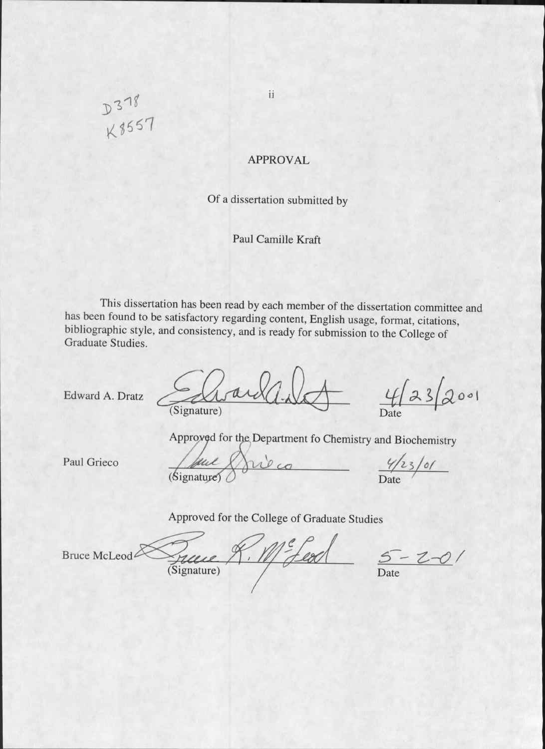ii

### **APPROVAL**

Of a dissertation submitted by

Paul Camille Kraft

This dissertation has been read by each member of the dissertation committee and has been found to be satisfactory regarding content, English usage, format, citations, bibliographic style, and consistency, and is ready for submission to the College of Graduate Studies.

Edward A. Dratz

(Signature)

 $23$ 001 Date

Approved for the Department fo Chemistry and Biochemistry

Paul Grieco

bul  $(s$ ignature)

 $\frac{4/23/61}{\text{Date}}$ 

Approved for the College of Graduate Studies

Bruce McLeod

 $7110$  $\left| \ \right|$ (Signature)

 $5 - 2 - 0$ Date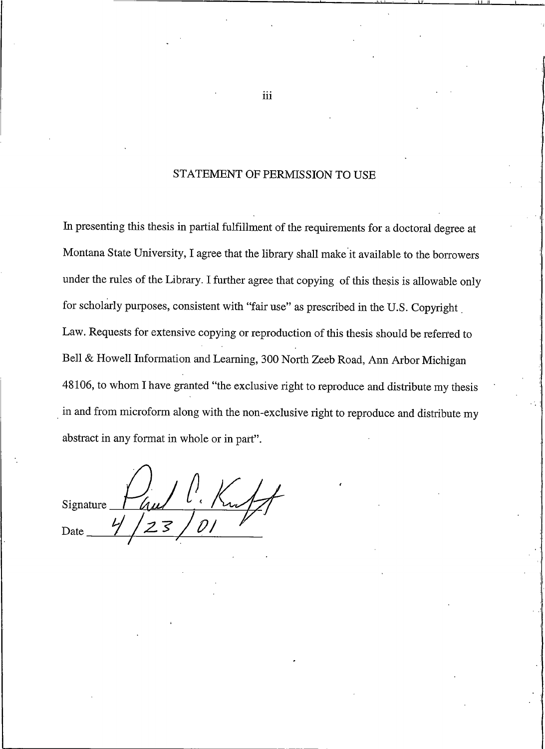#### STATEMENT OF PERMISSION TO USE

In presenting this thesis in partial fulfillment of the requirements for a doctoral degree at Montana State University, I agree that the library shall make it available to the borrowers under the rules of the Library. I further agree that copying of this thesis is allowable only for scholarly purposes, consistent with "fair use" as prescribed in the U.S. Copyright Law. Requests for extensive copying or reproduction of this thesis should be referred to Bell & Howell Information and Learning, 300 North Zeeb Road, Ann Arbor Michigan 48106, to whom I have granted "the exclusive right to reproduce and distribute my thesis in and from microform along with the non-exclusive right to reproduce and distribute my abstract in any format in whole or in part".

Signature Date

iii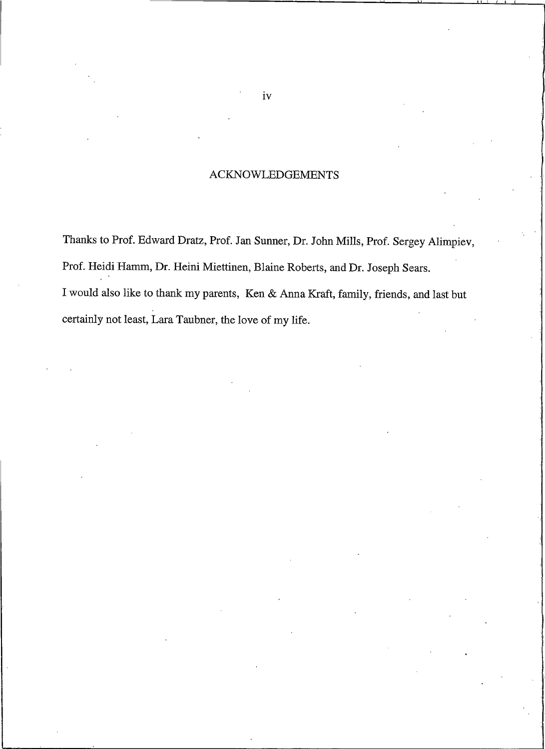## **ACKNOWLEDGEMENTS**

Thanks to Prof. Edward Dratz, Prof. Jan Sunner, Dr. John Mills, Prof. Sergey Alimpiev, Prof. Heidi Hamm, Dr. Heini Miettinen, Blaine Roberts, and Dr. Joseph Sears. I would also like to thank my parents, Ken & Anna Kraft, family, friends, and last but certainly not least, Lara Taubner, the love of my life.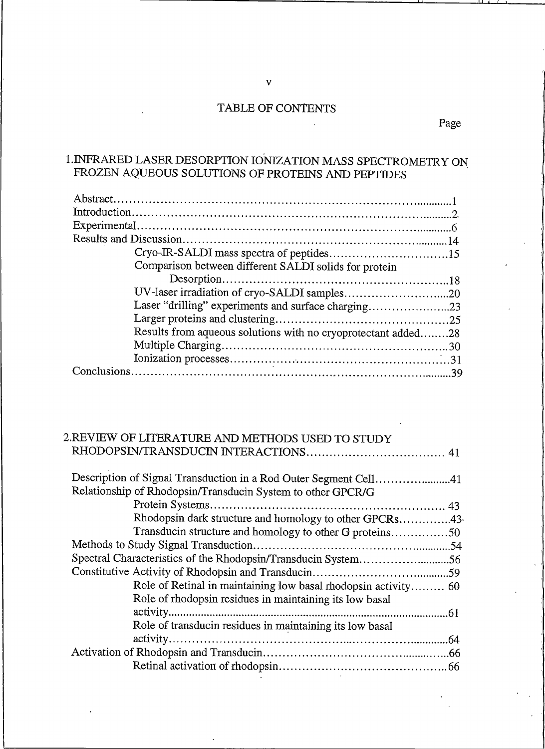### TABLE OF CONTENTS

## 1. INFRARED LASER DESORPTION IONIZATION MASS SPECTROMETRY ON FROZEN AQUEOUS SOLUTIONS OF PROTEINS AND PEPTIDES

| Comparison between different SALDI solids for protein         |  |
|---------------------------------------------------------------|--|
|                                                               |  |
|                                                               |  |
| Laser "drilling" experiments and surface charging23           |  |
|                                                               |  |
| Results from aqueous solutions with no cryoprotectant added28 |  |
|                                                               |  |
|                                                               |  |
|                                                               |  |
|                                                               |  |

## 2.REVIEW OF LITERATURE AND METHODS USED TO STUDY

| Description of Signal Transduction in a Rod Outer Segment Cell41 |  |
|------------------------------------------------------------------|--|
| Relationship of Rhodopsin/Transducin System to other GPCR/G      |  |
|                                                                  |  |
| Rhodopsin dark structure and homology to other GPCRs43           |  |
| Transducin structure and homology to other G proteins50          |  |
|                                                                  |  |
| Spectral Characteristics of the Rhodopsin/Transducin System56    |  |
|                                                                  |  |
| Role of Retinal in maintaining low basal rhodopsin activity 60   |  |
| Role of rhodopsin residues in maintaining its low basal          |  |
|                                                                  |  |
| Role of transducin residues in maintaining its low basal         |  |
|                                                                  |  |
|                                                                  |  |
|                                                                  |  |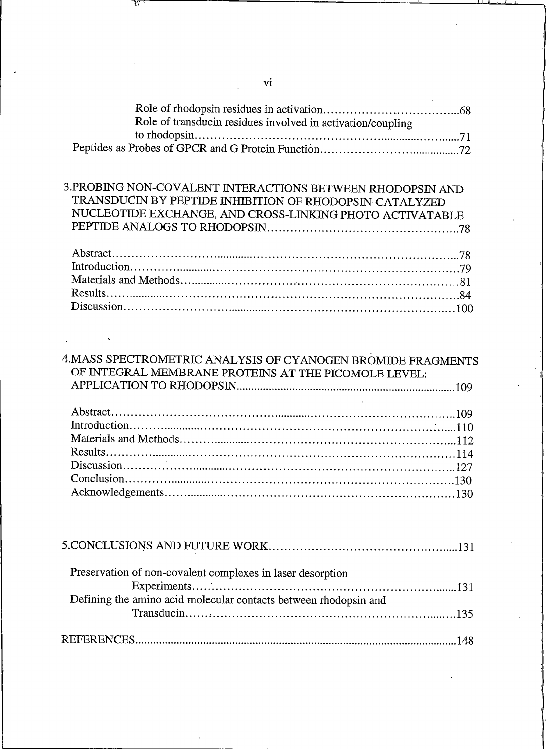| Role of transducin residues involved in activation/coupling |  |
|-------------------------------------------------------------|--|
| to rhodopsin                                                |  |
| Peptides as Probes of GPCR and G Protein Function.          |  |
|                                                             |  |

| 3.PROBING NON-COVALENT INTERACTIONS BETWEEN RHODOPSIN AND |  |
|-----------------------------------------------------------|--|
| TRANSDUCIN BY PEPTIDE INHIBITION OF RHODOPSIN-CATALYZED   |  |
| NUCLEOTIDE EXCHANGE, AND CROSS-LINKING PHOTO ACTIVATABLE  |  |
|                                                           |  |
|                                                           |  |

| Abstract            |  |
|---------------------|--|
| Introduction.<br>74 |  |
|                     |  |
| Results.            |  |
| Discussion.<br>.100 |  |
|                     |  |

| 4. MASS SPECTROMETRIC ANALYSIS OF CYANOGEN BROMIDE FRAGMENTS<br>OF INTEGRAL MEMBRANE PROTEINS AT THE PICOMOLE LEVEL: |
|----------------------------------------------------------------------------------------------------------------------|
|                                                                                                                      |
|                                                                                                                      |
|                                                                                                                      |
|                                                                                                                      |
| Results.                                                                                                             |
|                                                                                                                      |
|                                                                                                                      |
| Acknowledgements.                                                                                                    |
|                                                                                                                      |

| Preservation of non-covalent complexes in laser desorption       |  |
|------------------------------------------------------------------|--|
|                                                                  |  |
| Defining the amino acid molecular contacts between rhodopsin and |  |
|                                                                  |  |
|                                                                  |  |
| <b>REFERENCES</b>                                                |  |

 $\overline{a}$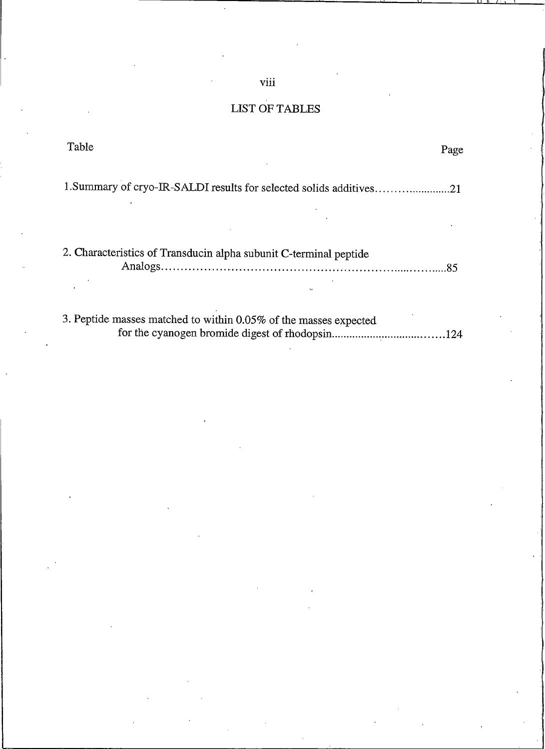## LIST OF TABLES

| 'I able                                                                                                          | Page       |
|------------------------------------------------------------------------------------------------------------------|------------|
| 1. Summary of cryo-IR-SALDI results for selected solids additives21                                              |            |
| 2. Characteristics of Transducin alpha subunit C-terminal peptide                                                |            |
| 3. Peptide masses matched to within 0.05% of the masses expected<br>for the evanogen bromide digest of rhodonsin | $\Delta A$ |

viii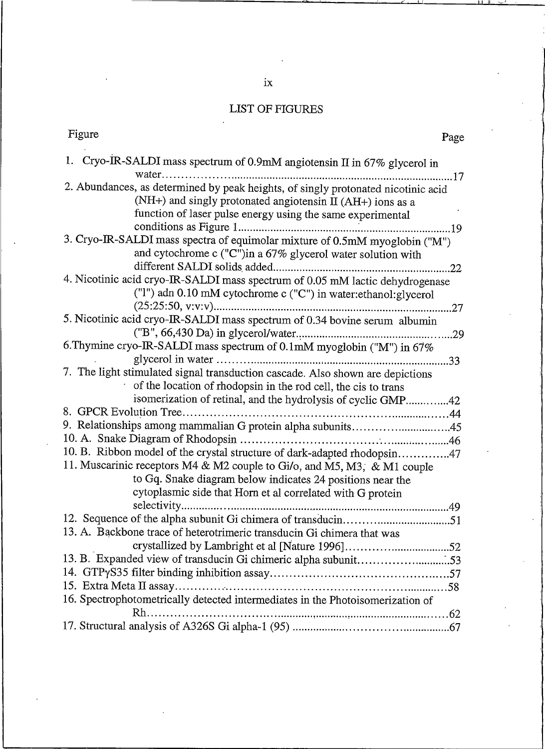## **LIST OF FIGURES**

| Figure<br>Page                                                                                                                                                                                                |
|---------------------------------------------------------------------------------------------------------------------------------------------------------------------------------------------------------------|
| 1. Cryo-IR-SALDI mass spectrum of 0.9mM angiotensin II in 67% glycerol in                                                                                                                                     |
| 2. Abundances, as determined by peak heights, of singly protonated nicotinic acid<br>(NH+) and singly protonated angiotensin II (AH+) ions as a<br>function of laser pulse energy using the same experimental |
| 3. Cryo-IR-SALDI mass spectra of equimolar mixture of 0.5mM myoglobin ("M")<br>and cytochrome c ("C")in a 67% glycerol water solution with                                                                    |
| 4. Nicotinic acid cryo-IR-SALDI mass spectrum of 0.05 mM lactic dehydrogenase<br>("1") adn 0.10 mM cytochrome c ("C") in water:ethanol:glycerol                                                               |
| 5. Nicotinic acid cryo-IR-SALDI mass spectrum of 0.34 bovine serum albumin<br>6. Thymine cryo-IR-SALDI mass spectrum of 0.1mM myoglobin ("M") in 67%                                                          |
| 7. The light stimulated signal transduction cascade. Also shown are depictions                                                                                                                                |
| of the location of rhodopsin in the rod cell, the cis to trans<br>isomerization of retinal, and the hydrolysis of cyclic GMP42                                                                                |
| 9. Relationships among mammalian G protein alpha subunits45<br>10. B. Ribbon model of the crystal structure of dark-adapted rhodopsin47                                                                       |
| 11. Muscarinic receptors M4 & M2 couple to Gi/o, and M5, M3, & M1 couple<br>to Gq. Snake diagram below indicates 24 positions near the<br>cytoplasmic side that Horn et al correlated with G protein          |
| 13. A. Backbone trace of heterotrimeric transducin Gi chimera that was                                                                                                                                        |
| 13. B. Expanded view of transducin Gi chimeric alpha subunit53                                                                                                                                                |
| 16. Spectrophotometrically detected intermediates in the Photoisomerization of                                                                                                                                |
|                                                                                                                                                                                                               |

 $i\mathbf{x}$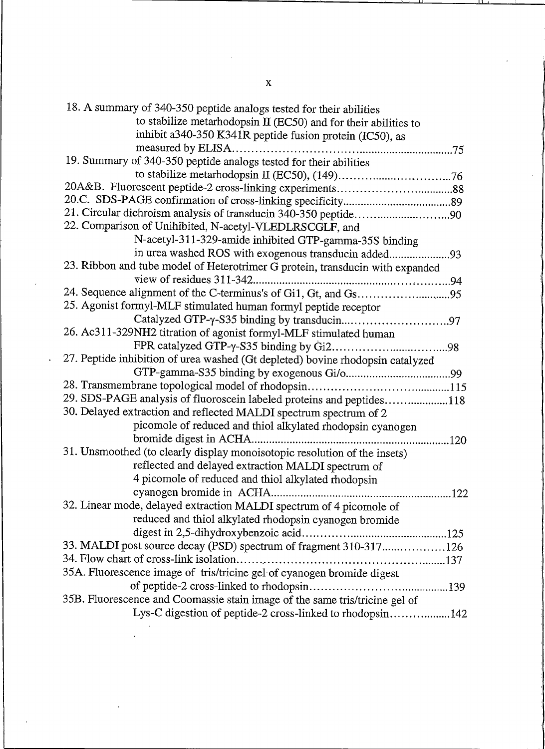| 18. A summary of 340-350 peptide analogs tested for their abilities            |
|--------------------------------------------------------------------------------|
| to stabilize metarhodopsin II (EC50) and for their abilities to                |
| inhibit a340-350 K341R peptide fusion protein (IC50), as                       |
|                                                                                |
| 19. Summary of 340-350 peptide analogs tested for their abilities              |
|                                                                                |
|                                                                                |
|                                                                                |
|                                                                                |
| 22. Comparison of Unihibited, N-acetyl-VLEDLRSCGLF, and                        |
| N-acetyl-311-329-amide inhibited GTP-gamma-35S binding                         |
| in urea washed ROS with exogenous transducin added93                           |
| 23. Ribbon and tube model of Heterotrimer G protein, transducin with expanded  |
|                                                                                |
| 24. Sequence alignment of the C-terminus's of Gi1, Gt, and Gs95                |
| 25. Agonist formyl-MLF stimulated human formyl peptide receptor                |
|                                                                                |
| 26. Ac311-329NH2 titration of agonist formyl-MLF stimulated human              |
|                                                                                |
| 27. Peptide inhibition of urea washed (Gt depleted) bovine rhodopsin catalyzed |
|                                                                                |
|                                                                                |
| 29. SDS-PAGE analysis of fluoroscein labeled proteins and peptides118          |
| 30. Delayed extraction and reflected MALDI spectrum spectrum of 2              |
| picomole of reduced and thiol alkylated rhodopsin cyanogen                     |
|                                                                                |
| 31. Unsmoothed (to clearly display monoisotopic resolution of the insets)      |
| reflected and delayed extraction MALDI spectrum of                             |
| 4 picomole of reduced and thiol alkylated rhodopsin                            |
| .122                                                                           |
| 32. Linear mode, delayed extraction MALDI spectrum of 4 picomole of            |
| reduced and thiol alkylated rhodopsin cyanogen bromide                         |
|                                                                                |
| 33. MALDI post source decay (PSD) spectrum of fragment 310-317126              |
|                                                                                |
| 35A. Fluorescence image of tris/tricine gel of cyanogen bromide digest         |
|                                                                                |
| 35B. Fluorescence and Coomassie stain image of the same tris/tricine gel of    |
| Lys-C digestion of peptide-2 cross-linked to rhodopsin142                      |

 $\mathbf{x}$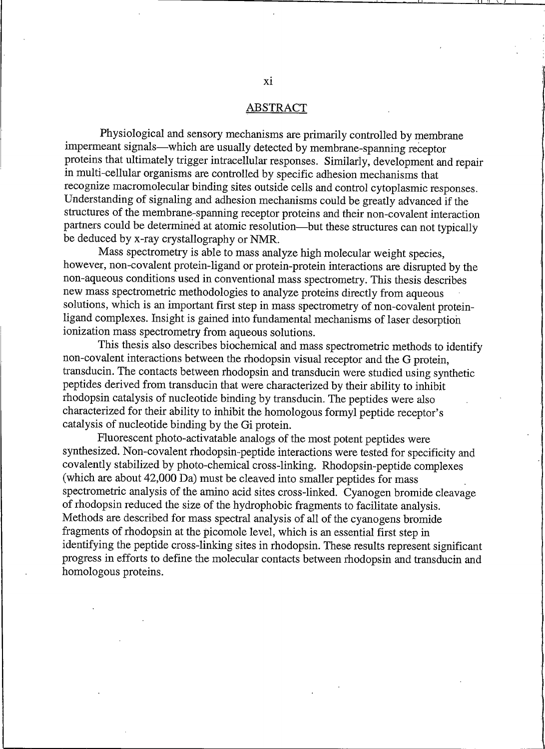#### **ABSTRACT**

Physiological and sensory mechanisms are primarily controlled by membrane impermeant signals—which are usually detected by membrane-spanning receptor proteins that ultimately trigger intracellular responses. Similarly, development and repair in multi-cellular organisms are controlled by specific adhesion mechanisms that recognize macromolecular binding sites outside cells and control cytoplasmic responses. Understanding of signaling and adhesion mechanisms could be greatly advanced if the structures of the membrane-spanning receptor proteins and their non-covalent interaction partners could be determined at atomic resolution-but these structures can not typically be deduced by x-ray crystallography or NMR.

Mass spectrometry is able to mass analyze high molecular weight species, however, non-covalent protein-ligand or protein-protein interactions are disrupted by the non-aqueous conditions used in conventional mass spectrometry. This thesis describes new mass spectrometric methodologies to analyze proteins directly from aqueous solutions, which is an important first step in mass spectrometry of non-covalent proteinligand complexes. Insight is gained into fundamental mechanisms of laser desorption ionization mass spectrometry from aqueous solutions.

This thesis also describes biochemical and mass spectrometric methods to identify non-covalent interactions between the rhodopsin visual receptor and the G protein, transducin. The contacts between rhodopsin and transducin were studied using synthetic peptides derived from transducin that were characterized by their ability to inhibit rhodopsin catalysis of nucleotide binding by transducin. The peptides were also characterized for their ability to inhibit the homologous formyl peptide receptor's catalysis of nucleotide binding by the Gi protein.

Fluorescent photo-activatable analogs of the most potent peptides were synthesized. Non-covalent rhodopsin-peptide interactions were tested for specificity and covalently stabilized by photo-chemical cross-linking. Rhodopsin-peptide complexes (which are about 42,000 Da) must be cleaved into smaller peptides for mass spectrometric analysis of the amino acid sites cross-linked. Cyanogen bromide cleavage of rhodopsin reduced the size of the hydrophobic fragments to facilitate analysis. Methods are described for mass spectral analysis of all of the cyanogens bromide fragments of rhodopsin at the picomole level, which is an essential first step in identifying the peptide cross-linking sites in rhodopsin. These results represent significant progress in efforts to define the molecular contacts between rhodopsin and transducin and homologous proteins.

xi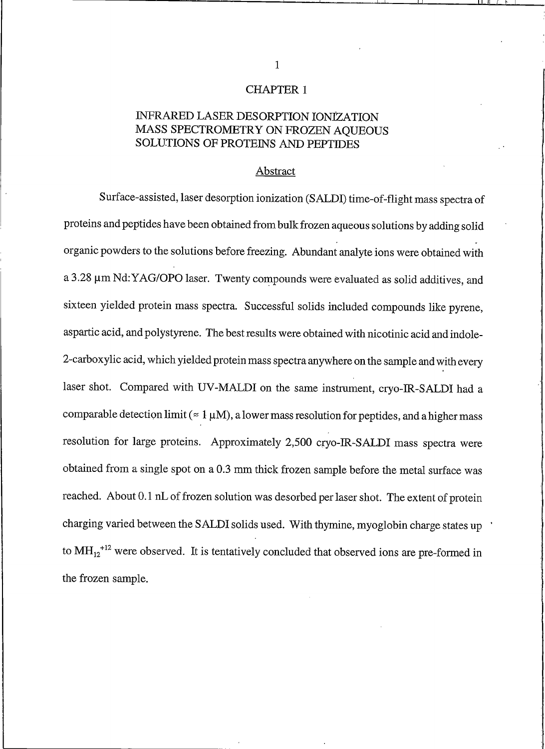#### **CHAPTER 1**

### INFRARED LASER DESORPTION IONIZATION MASS SPECTROMETRY ON FROZEN AQUEOUS **SOLUTIONS OF PROTEINS AND PEPTIDES**

#### Abstract

Surface-assisted, laser desorption ionization (SALDI) time-of-flight mass spectra of proteins and peptides have been obtained from bulk frozen aqueous solutions by adding solid organic powders to the solutions before freezing. Abundant analyte ions were obtained with a 3.28 um Nd: YAG/OPO laser. Twenty compounds were evaluated as solid additives, and sixteen yielded protein mass spectra. Successful solids included compounds like pyrene, aspartic acid, and polystyrene. The best results were obtained with nicotinic acid and indole-2-carboxylic acid, which yielded protein mass spectra anywhere on the sample and with every laser shot. Compared with UV-MALDI on the same instrument, cryo-IR-SALDI had a comparable detection limit ( $\approx 1 \mu M$ ), a lower mass resolution for peptides, and a higher mass resolution for large proteins. Approximately 2,500 cryo-IR-SALDI mass spectra were obtained from a single spot on a 0.3 mm thick frozen sample before the metal surface was reached. About 0.1 nL of frozen solution was desorbed per laser shot. The extent of protein charging varied between the SALDI solids used. With thymine, myoglobin charge states up to  $MH_{12}$ <sup>+12</sup> were observed. It is tentatively concluded that observed ions are pre-formed in the frozen sample.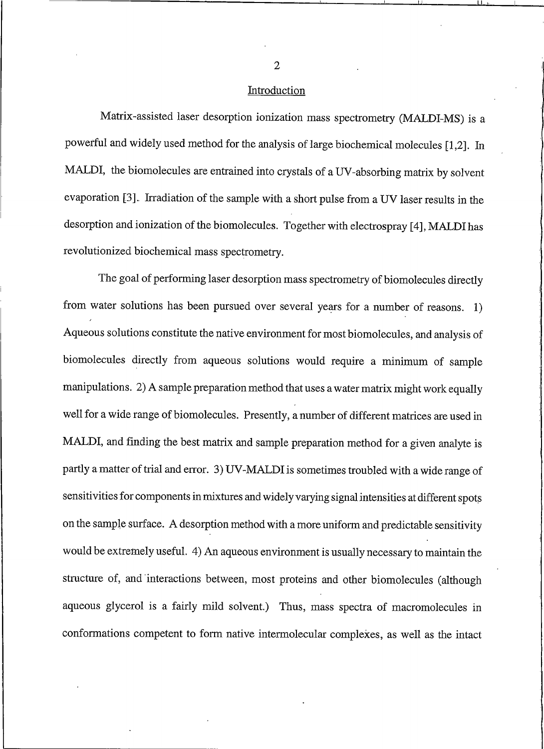#### Introduction

Matrix-assisted laser desorption ionization mass spectrometry (MALDI-MS) is a powerful and widely used method for the analysis of large biochemical molecules [1,2]. In MALDI, the biomolecules are entrained into crystals of a UV-absorbing matrix by solvent evaporation [3]. Irradiation of the sample with a short pulse from a UV laser results in the desorption and ionization of the biomolecules. Together with electrospray [4], MALDI has revolutionized biochemical mass spectrometry.

The goal of performing laser desorption mass spectrometry of biomolecules directly from water solutions has been pursued over several years for a number of reasons. 1) Aqueous solutions constitute the native environment for most biomolecules, and analysis of biomolecules directly from aqueous solutions would require a minimum of sample manipulations. 2) A sample preparation method that uses a water matrix might work equally well for a wide range of biomolecules. Presently, a number of different matrices are used in MALDI, and finding the best matrix and sample preparation method for a given analyte is partly a matter of trial and error. 3) UV-MALDI is sometimes troubled with a wide range of sensitivities for components in mixtures and widely varying signal intensities at different spots on the sample surface. A desorption method with a more uniform and predictable sensitivity would be extremely useful. 4) An aqueous environment is usually necessary to maintain the structure of, and interactions between, most proteins and other biomolecules (although aqueous glycerol is a fairly mild solvent.) Thus, mass spectra of macromolecules in conformations competent to form native intermolecular complexes, as well as the intact

 $\overline{2}$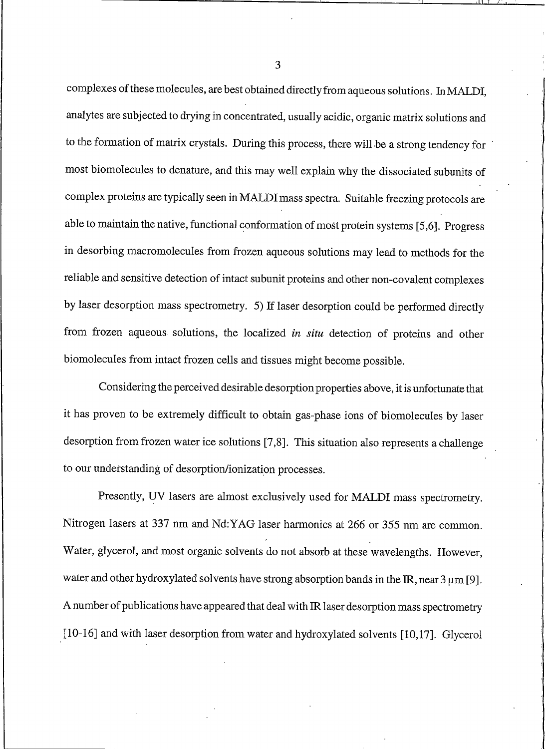complexes of these molecules, are best obtained directly from aqueous solutions. In MALDI, analytes are subjected to drying in concentrated, usually acidic, organic matrix solutions and to the formation of matrix crystals. During this process, there will be a strong tendency for most biomolecules to denature, and this may well explain why the dissociated subunits of complex proteins are typically seen in MALDI mass spectra. Suitable freezing protocols are able to maintain the native, functional conformation of most protein systems [5,6]. Progress in desorbing macromolecules from frozen aqueous solutions may lead to methods for the reliable and sensitive detection of intact subunit proteins and other non-covalent complexes by laser desorption mass spectrometry. 5) If laser desorption could be performed directly from frozen aqueous solutions, the localized in situ detection of proteins and other biomolecules from intact frozen cells and tissues might become possible.

Considering the perceived desirable desorption properties above, it is unfortunate that it has proven to be extremely difficult to obtain gas-phase ions of biomolecules by laser desorption from frozen water ice solutions [7,8]. This situation also represents a challenge to our understanding of desorption/ionization processes.

Presently, UV lasers are almost exclusively used for MALDI mass spectrometry. Nitrogen lasers at 337 nm and Nd:YAG laser harmonics at 266 or 355 nm are common. Water, glycerol, and most organic solvents do not absorb at these wavelengths. However, water and other hydroxylated solvents have strong absorption bands in the IR, near  $3 \mu m$  [9]. A number of publications have appeared that deal with IR laser desorption mass spectrometry [10-16] and with laser desorption from water and hydroxylated solvents [10,17]. Glycerol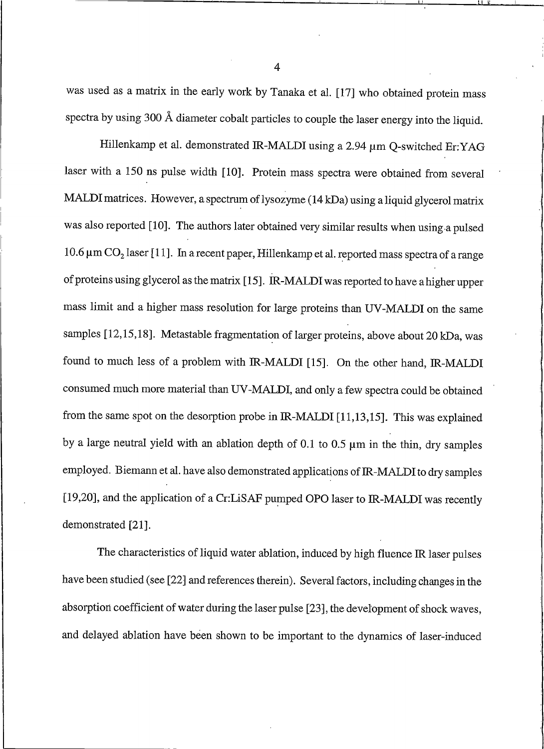was used as a matrix in the early work by Tanaka et al. [17] who obtained protein mass spectra by using 300 Å diameter cobalt particles to couple the laser energy into the liquid.

Hillenkamp et al. demonstrated IR-MALDI using a 2.94 µm Q-switched Er: YAG laser with a 150 ns pulse width [10]. Protein mass spectra were obtained from several MALDI matrices. However, a spectrum of lysozyme (14 kDa) using a liquid glycerol matrix was also reported [10]. The authors later obtained very similar results when using a pulsed 10.6  $\mu$ m CO<sub>2</sub> laser [11]. In a recent paper, Hillenkamp et al. reported mass spectra of a range of proteins using glycerol as the matrix [15]. IR-MALDI was reported to have a higher upper mass limit and a higher mass resolution for large proteins than UV-MALDI on the same samples [12,15,18]. Metastable fragmentation of larger proteins, above about 20 kDa, was found to much less of a problem with IR-MALDI [15]. On the other hand, IR-MALDI consumed much more material than UV-MALDI, and only a few spectra could be obtained from the same spot on the desorption probe in IR-MALDI [11,13,15]. This was explained by a large neutral yield with an ablation depth of 0.1 to 0.5  $\mu$ m in the thin, dry samples employed. Biemann et al. have also demonstrated applications of IR-MALDI to dry samples [19,20], and the application of a Cr:LiSAF pumped OPO laser to IR-MALDI was recently demonstrated [21].

The characteristics of liquid water ablation, induced by high fluence IR laser pulses have been studied (see [22] and references therein). Several factors, including changes in the absorption coefficient of water during the laser pulse [23], the development of shock waves, and delayed ablation have been shown to be important to the dynamics of laser-induced

 $\overline{4}$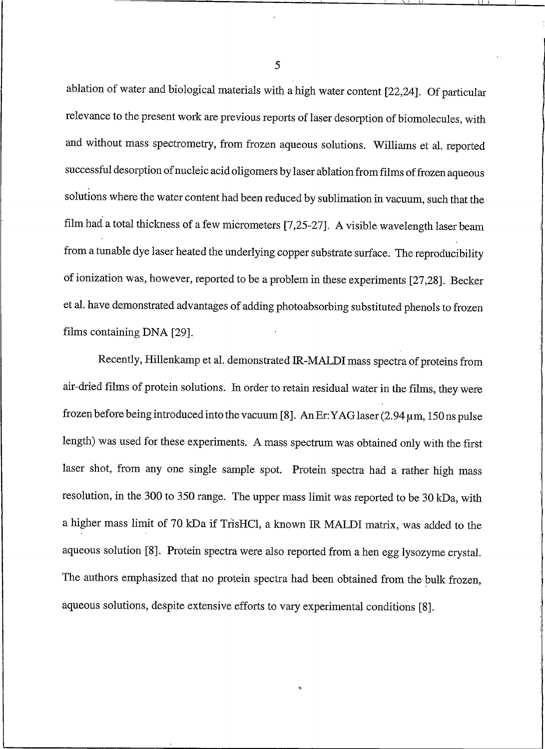ablation of water and biological materials with a high water content [22,24]. Of particular relevance to the present work are previous reports of laser desorption of biomolecules, with and without mass spectrometry, from frozen aqueous solutions. Williams et al. reported successful desorption of nucleic acid oligomers by laser ablation from films of frozen aqueous solutions where the water content had been reduced by sublimation in vacuum, such that the film had a total thickness of a few micrometers [7,25-27]. A visible wavelength laser beam from a tunable dye laser heated the underlying copper substrate surface. The reproducibility of ionization was, however, reported to be a problem in these experiments [27,28]. Becker et al. have demonstrated advantages of adding photoabsorbing substituted phenols to frozen films containing DNA [29].

Recently, Hillenkamp et al. demonstrated IR-MALDI mass spectra of proteins from air-dried films of protein solutions. In order to retain residual water in the films, they were frozen before being introduced into the vacuum [8]. An Er: YAG laser (2.94 µm, 150 ns pulse length) was used for these experiments. A mass spectrum was obtained only with the first laser shot, from any one single sample spot. Protein spectra had a rather high mass resolution, in the 300 to 350 range. The upper mass limit was reported to be 30 kDa, with a higher mass limit of 70 kDa if TrisHCl, a known IR MALDI matrix, was added to the aqueous solution [8]. Protein spectra were also reported from a hen egg lysozyme crystal. The authors emphasized that no protein spectra had been obtained from the bulk frozen, aqueous solutions, despite extensive efforts to vary experimental conditions [8].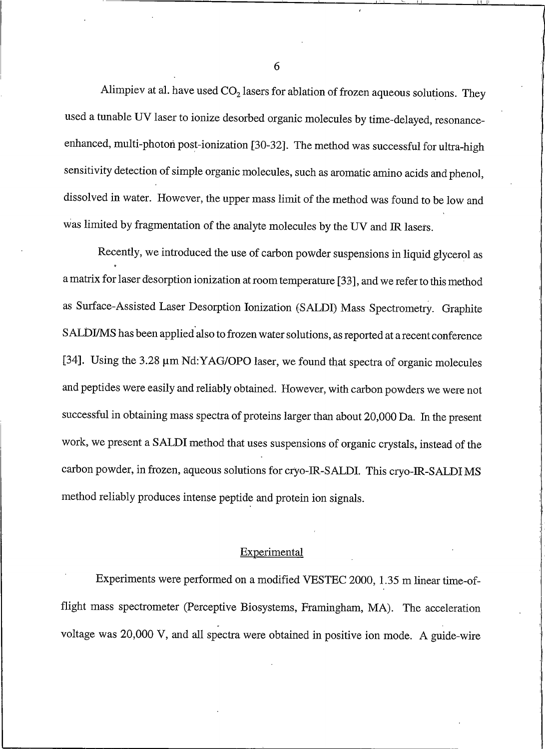Alimpiev at al. have used  $CO<sub>2</sub>$  lasers for ablation of frozen aqueous solutions. They used a tunable UV laser to ionize desorbed organic molecules by time-delayed, resonanceenhanced, multi-photon post-ionization [30-32]. The method was successful for ultra-high sensitivity detection of simple organic molecules, such as aromatic amino acids and phenol, dissolved in water. However, the upper mass limit of the method was found to be low and was limited by fragmentation of the analyte molecules by the UV and IR lasers.

Recently, we introduced the use of carbon powder suspensions in liquid glycerol as a matrix for laser desorption ionization at room temperature [33], and we refer to this method as Surface-Assisted Laser Desorption Ionization (SALDI) Mass Spectrometry. Graphite SALDI/MS has been applied also to frozen water solutions, as reported at a recent conference [34]. Using the 3.28 µm Nd:YAG/OPO laser, we found that spectra of organic molecules and peptides were easily and reliably obtained. However, with carbon powders we were not successful in obtaining mass spectra of proteins larger than about 20,000 Da. In the present work, we present a SALDI method that uses suspensions of organic crystals, instead of the carbon powder, in frozen, aqueous solutions for cryo-IR-SALDI. This cryo-IR-SALDI MS method reliably produces intense peptide and protein ion signals.

#### Experimental

Experiments were performed on a modified VESTEC 2000, 1.35 m linear time-offlight mass spectrometer (Perceptive Biosystems, Framingham, MA). The acceleration voltage was 20,000 V, and all spectra were obtained in positive ion mode. A guide-wire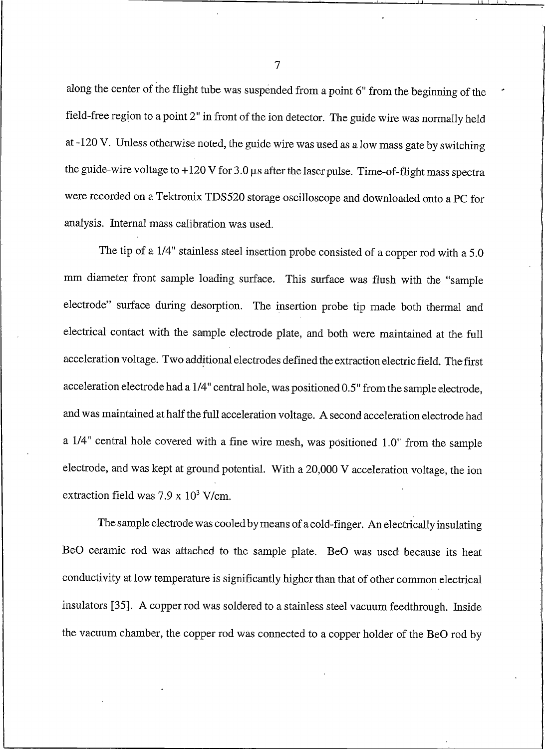along the center of the flight tube was suspended from a point 6" from the beginning of the field-free region to a point 2" in front of the ion detector. The guide wire was normally held at -120 V. Unless otherwise noted, the guide wire was used as a low mass gate by switching the guide-wire voltage to  $+120$  V for 3.0  $\mu$ s after the laser pulse. Time-of-flight mass spectra were recorded on a Tektronix TDS520 storage oscilloscope and downloaded onto a PC for analysis. Internal mass calibration was used.

The tip of a 1/4" stainless steel insertion probe consisted of a copper rod with a 5.0 mm diameter front sample loading surface. This surface was flush with the "sample electrode" surface during desorption. The insertion probe tip made both thermal and electrical contact with the sample electrode plate, and both were maintained at the full acceleration voltage. Two additional electrodes defined the extraction electric field. The first acceleration electrode had a 1/4" central hole, was positioned 0.5" from the sample electrode, and was maintained at half the full acceleration voltage. A second acceleration electrode had a 1/4" central hole covered with a fine wire mesh, was positioned 1.0" from the sample electrode, and was kept at ground potential. With a 20,000 V acceleration voltage, the ion extraction field was  $7.9 \times 10^3$  V/cm.

The sample electrode was cooled by means of a cold-finger. An electrically insulating BeO ceramic rod was attached to the sample plate. BeO was used because its heat conductivity at low temperature is significantly higher than that of other common electrical insulators [35]. A copper rod was soldered to a stainless steel vacuum feedthrough. Inside the vacuum chamber, the copper rod was connected to a copper holder of the BeO rod by

 $\overline{7}$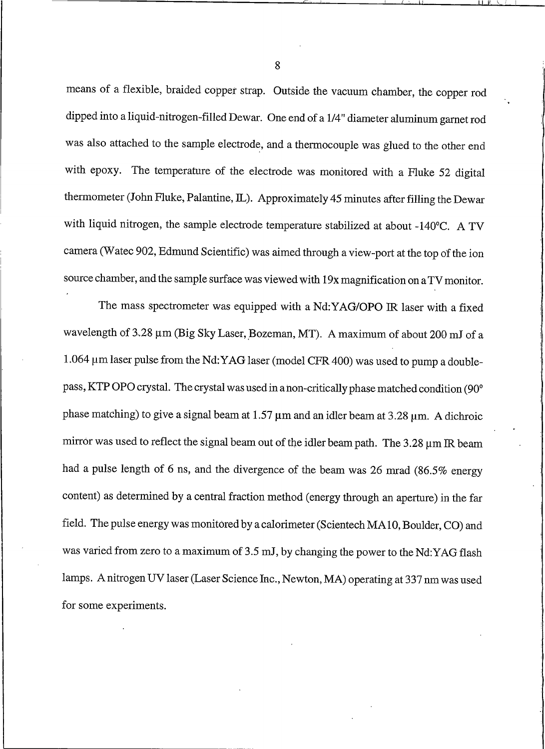means of a flexible, braided copper strap. Outside the vacuum chamber, the copper rod dipped into a liquid-nitrogen-filled Dewar. One end of a 1/4" diameter aluminum garnet rod was also attached to the sample electrode, and a thermocouple was glued to the other end with epoxy. The temperature of the electrode was monitored with a Fluke 52 digital thermometer (John Fluke, Palantine, IL). Approximately 45 minutes after filling the Dewar with liquid nitrogen, the sample electrode temperature stabilized at about -140°C. A TV camera (Watec 902, Edmund Scientific) was aimed through a view-port at the top of the ion source chamber, and the sample surface was viewed with 19x magnification on a TV monitor.

The mass spectrometer was equipped with a Nd:YAG/OPO IR laser with a fixed wavelength of 3.28 um (Big Sky Laser, Bozeman, MT). A maximum of about 200 mJ of a 1.064 µm laser pulse from the Nd: YAG laser (model CFR 400) was used to pump a doublepass, KTP OPO crystal. The crystal was used in a non-critically phase matched condition (90° phase matching) to give a signal beam at  $1.57 \,\mu$ m and an idler beam at  $3.28 \,\mu$ m. A dichroic mirror was used to reflect the signal beam out of the idler beam path. The 3.28 um IR beam had a pulse length of 6 ns, and the divergence of the beam was 26 mrad (86.5% energy content) as determined by a central fraction method (energy through an aperture) in the far field. The pulse energy was monitored by a calorimeter (Scientech MA10, Boulder, CO) and was varied from zero to a maximum of 3.5 mJ, by changing the power to the Nd:YAG flash lamps. A nitrogen UV laser (Laser Science Inc., Newton, MA) operating at 337 nm was used for some experiments.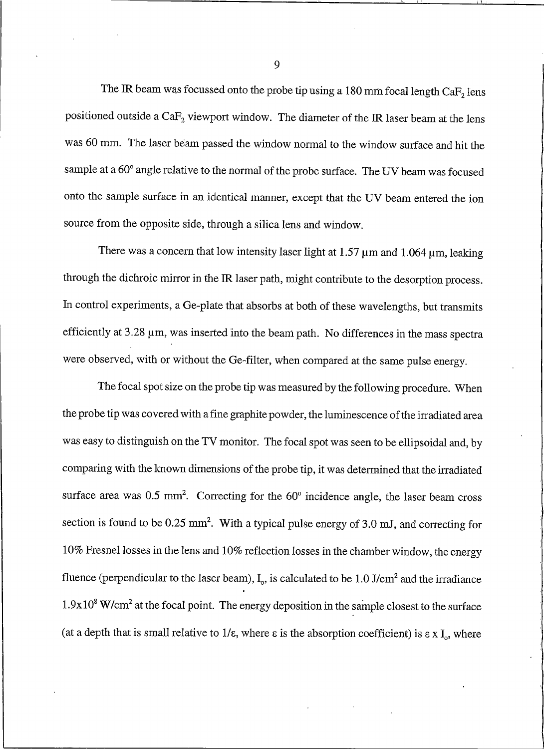The IR beam was focussed onto the probe tip using a 180 mm focal length  $CaF<sub>2</sub>$  lens positioned outside a CaF<sub>2</sub> viewport window. The diameter of the IR laser beam at the lens was 60 mm. The laser beam passed the window normal to the window surface and hit the sample at a 60° angle relative to the normal of the probe surface. The UV beam was focused onto the sample surface in an identical manner, except that the UV beam entered the ion source from the opposite side, through a silica lens and window.

There was a concern that low intensity laser light at 1.57  $\mu$ m and 1.064  $\mu$ m, leaking through the dichroic mirror in the IR laser path, might contribute to the desorption process. In control experiments, a Ge-plate that absorbs at both of these wavelengths, but transmits efficiently at 3.28 um, was inserted into the beam path. No differences in the mass spectra were observed, with or without the Ge-filter, when compared at the same pulse energy.

The focal spot size on the probe tip was measured by the following procedure. When the probe tip was covered with a fine graphite powder, the luminescence of the irradiated area was easy to distinguish on the TV monitor. The focal spot was seen to be ellipsoidal and, by comparing with the known dimensions of the probe tip, it was determined that the irradiated surface area was  $0.5 \text{ mm}^2$ . Correcting for the  $60^\circ$  incidence angle, the laser beam cross section is found to be 0.25 mm<sup>2</sup>. With a typical pulse energy of 3.0 mJ, and correcting for 10% Fresnel losses in the lens and 10% reflection losses in the chamber window, the energy fluence (perpendicular to the laser beam),  $I_0$ , is calculated to be 1.0 J/cm<sup>2</sup> and the irradiance  $1.9x10<sup>8</sup>$  W/cm<sup>2</sup> at the focal point. The energy deposition in the sample closest to the surface (at a depth that is small relative to  $1/\epsilon$ , where  $\epsilon$  is the absorption coefficient) is  $\epsilon \times I_o$ , where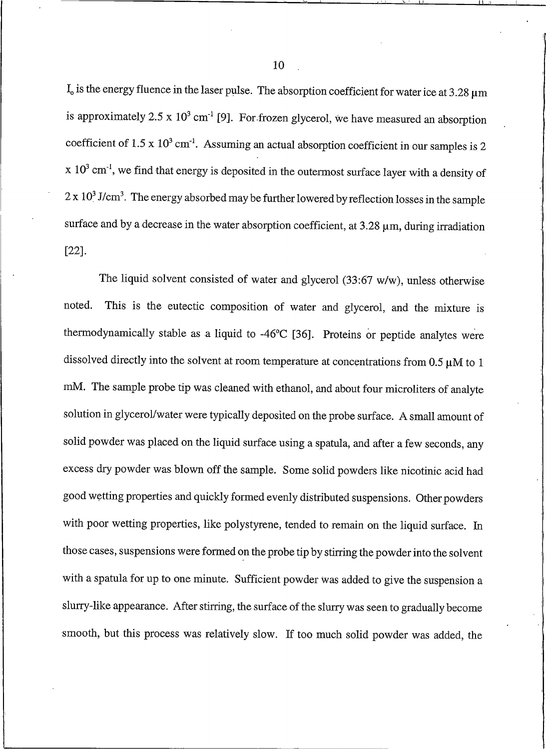$I_0$  is the energy fluence in the laser pulse. The absorption coefficient for water ice at 3.28  $\mu$ m is approximately 2.5 x  $10^3$  cm<sup>-1</sup> [9]. For frozen glycerol, we have measured an absorption coefficient of  $1.5 \times 10^3$  cm<sup>-1</sup>. Assuming an actual absorption coefficient in our samples is 2  $\rm x$  10<sup>3</sup> cm<sup>-1</sup>, we find that energy is deposited in the outermost surface layer with a density of  $2 \times 10^3$  J/cm<sup>3</sup>. The energy absorbed may be further lowered by reflection losses in the sample surface and by a decrease in the water absorption coefficient, at  $3.28 \mu m$ , during irradiation  $[22]$ .

The liquid solvent consisted of water and glycerol  $(33:67 \text{ w/w})$ , unless otherwise This is the eutectic composition of water and glycerol, and the mixture is noted. thermodynamically stable as a liquid to -46°C [36]. Proteins or peptide analytes were dissolved directly into the solvent at room temperature at concentrations from  $0.5 \mu M$  to 1 mM. The sample probe tip was cleaned with ethanol, and about four microliters of analyte solution in glycerol/water were typically deposited on the probe surface. A small amount of solid powder was placed on the liquid surface using a spatula, and after a few seconds, any excess dry powder was blown off the sample. Some solid powders like nicotinic acid had good wetting properties and quickly formed evenly distributed suspensions. Other powders with poor wetting properties, like polystyrene, tended to remain on the liquid surface. In those cases, suspensions were formed on the probe tip by stirring the powder into the solvent with a spatula for up to one minute. Sufficient powder was added to give the suspension a slurry-like appearance. After stirring, the surface of the slurry was seen to gradually become smooth, but this process was relatively slow. If too much solid powder was added, the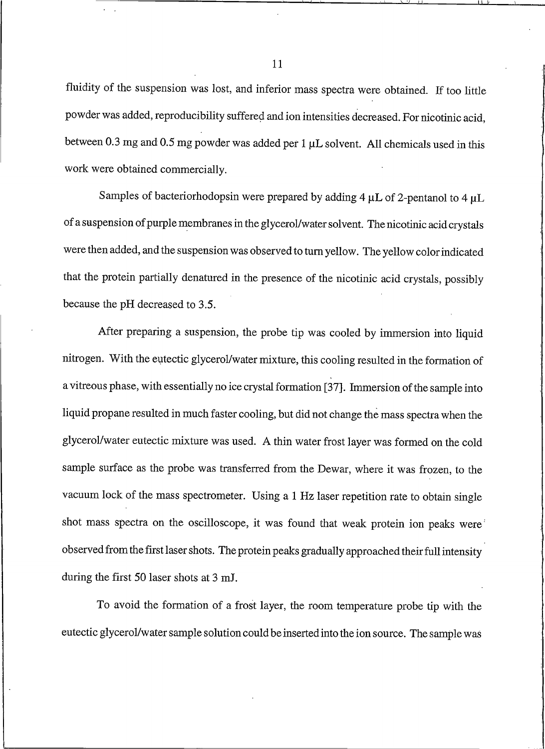fluidity of the suspension was lost, and inferior mass spectra were obtained. If too little powder was added, reproducibility suffered and ion intensities decreased. For nicotinic acid, between 0.3 mg and 0.5 mg powder was added per  $1 \mu L$  solvent. All chemicals used in this work were obtained commercially.

Samples of bacteriorhodopsin were prepared by adding 4  $\mu$ L of 2-pentanol to 4  $\mu$ L of a suspension of purple membranes in the glycerol/water solvent. The nicotinic acid crystals were then added, and the suspension was observed to turn yellow. The yellow color indicated that the protein partially denatured in the presence of the nicotinic acid crystals, possibly because the pH decreased to 3.5.

After preparing a suspension, the probe tip was cooled by immersion into liquid nitrogen. With the eutectic glycerol/water mixture, this cooling resulted in the formation of a vitreous phase, with essentially no ice crystal formation [37]. Immersion of the sample into liquid propane resulted in much faster cooling, but did not change the mass spectra when the glycerol/water eutectic mixture was used. A thin water frost layer was formed on the cold sample surface as the probe was transferred from the Dewar, where it was frozen, to the vacuum lock of the mass spectrometer. Using a 1 Hz laser repetition rate to obtain single shot mass spectra on the oscilloscope, it was found that weak protein ion peaks were observed from the first laser shots. The protein peaks gradually approached their full intensity during the first 50 laser shots at 3 mJ.

To avoid the formation of a frost layer, the room temperature probe tip with the eutectic glycerol/water sample solution could be inserted into the ion source. The sample was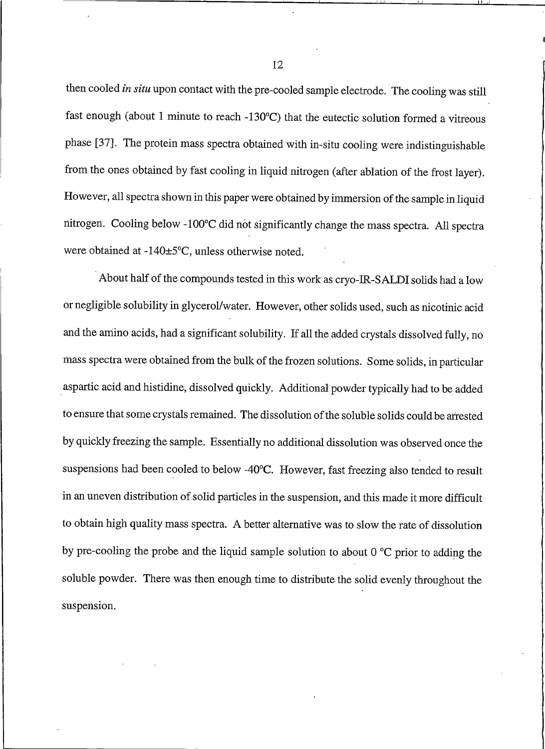then cooled in situ upon contact with the pre-cooled sample electrode. The cooling was still fast enough (about 1 minute to reach -130°C) that the eutectic solution formed a vitreous phase [37]. The protein mass spectra obtained with in-situ cooling were indistinguishable from the ones obtained by fast cooling in liquid nitrogen (after ablation of the frost layer). However, all spectra shown in this paper were obtained by immersion of the sample in liquid nitrogen. Cooling below -100°C did not significantly change the mass spectra. All spectra were obtained at -140±5°C, unless otherwise noted.

About half of the compounds tested in this work as cryo-IR-SALDI solids had a low or negligible solubility in glycerol/water. However, other solids used, such as nicotinic acid and the amino acids, had a significant solubility. If all the added crystals dissolved fully, no mass spectra were obtained from the bulk of the frozen solutions. Some solids, in particular aspartic acid and histidine, dissolved quickly. Additional powder typically had to be added to ensure that some crystals remained. The dissolution of the soluble solids could be arrested by quickly freezing the sample. Essentially no additional dissolution was observed once the suspensions had been cooled to below -40°C. However, fast freezing also tended to result in an uneven distribution of solid particles in the suspension, and this made it more difficult to obtain high quality mass spectra. A better alternative was to slow the rate of dissolution by pre-cooling the probe and the liquid sample solution to about  $0^{\circ}$ C prior to adding the soluble powder. There was then enough time to distribute the solid evenly throughout the suspension.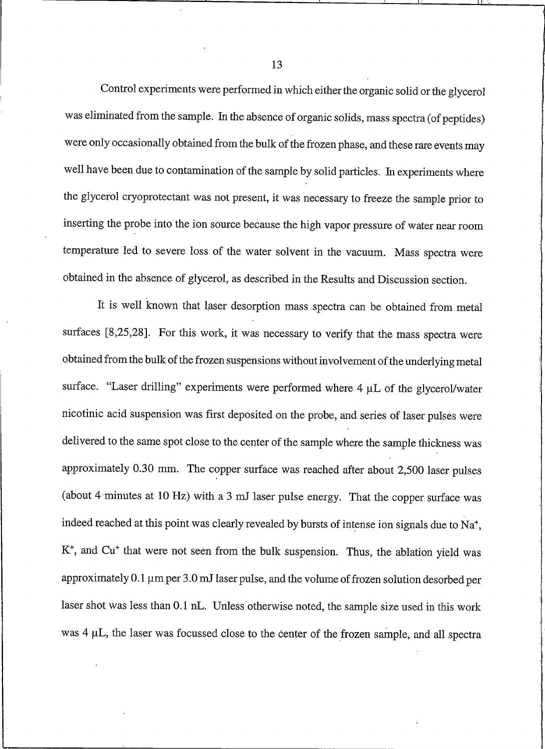Control experiments were performed in which either the organic solid or the glycerol was eliminated from the sample. In the absence of organic solids, mass spectra (of peptides) were only occasionally obtained from the bulk of the frozen phase, and these rare events may well have been due to contamination of the sample by solid particles. In experiments where the glycerol cryoprotectant was not present, it was necessary to freeze the sample prior to inserting the probe into the ion source because the high vapor pressure of water near room temperature led to severe loss of the water solvent in the vacuum. Mass spectra were obtained in the absence of glycerol, as described in the Results and Discussion section.

It is well known that laser desorption mass spectra can be obtained from metal surfaces [8,25,28]. For this work, it was necessary to verify that the mass spectra were obtained from the bulk of the frozen suspensions without involvement of the underlying metal surface. "Laser drilling" experiments were performed where  $4 \mu L$  of the glycerol/water nicotinic acid suspension was first deposited on the probe, and series of laser pulses were delivered to the same spot close to the center of the sample where the sample thickness was approximately 0.30 mm. The copper surface was reached after about 2,500 laser pulses (about 4 minutes at 10 Hz) with a 3 mJ laser pulse energy. That the copper surface was indeed reached at this point was clearly revealed by bursts of intense ion signals due to Na<sup>+</sup>, K<sup>+</sup>, and Cu<sup>+</sup> that were not seen from the bulk suspension. Thus, the ablation yield was approximately 0.1 µm per 3.0 mJ laser pulse, and the volume of frozen solution desorbed per laser shot was less than 0.1 nL. Unless otherwise noted, the sample size used in this work was 4 µL, the laser was focussed close to the center of the frozen sample, and all spectra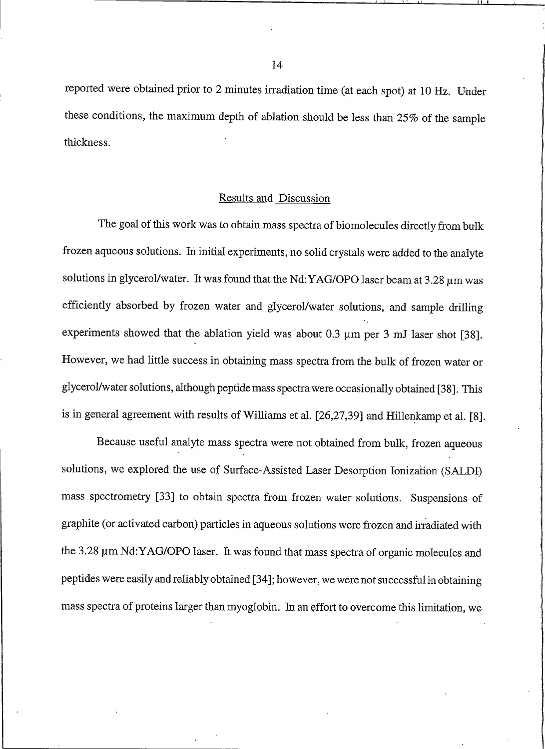reported were obtained prior to 2 minutes irradiation time (at each spot) at 10 Hz. Under these conditions, the maximum depth of ablation should be less than 25% of the sample thickness.

#### **Results and Discussion**

The goal of this work was to obtain mass spectra of biomolecules directly from bulk frozen aqueous solutions. In initial experiments, no solid crystals were added to the analyte solutions in glycerol/water. It was found that the Nd: YAG/OPO laser beam at 3.28 µm was efficiently absorbed by frozen water and glycerol/water solutions, and sample drilling experiments showed that the ablation yield was about 0.3  $\mu$ m per 3 mJ laser shot [38]. However, we had little success in obtaining mass spectra from the bulk of frozen water or glycerol/water solutions, although peptide mass spectra were occasionally obtained [38]. This is in general agreement with results of Williams et al. [26,27,39] and Hillenkamp et al. [8].

Because useful analyte mass spectra were not obtained from bulk, frozen aqueous solutions, we explored the use of Surface-Assisted Laser Desorption Ionization (SALDI) mass spectrometry [33] to obtain spectra from frozen water solutions. Suspensions of graphite (or activated carbon) particles in aqueous solutions were frozen and irradiated with the 3.28 um Nd: YAG/OPO laser. It was found that mass spectra of organic molecules and peptides were easily and reliably obtained [34]; however, we were not successful in obtaining mass spectra of proteins larger than myoglobin. In an effort to overcome this limitation, we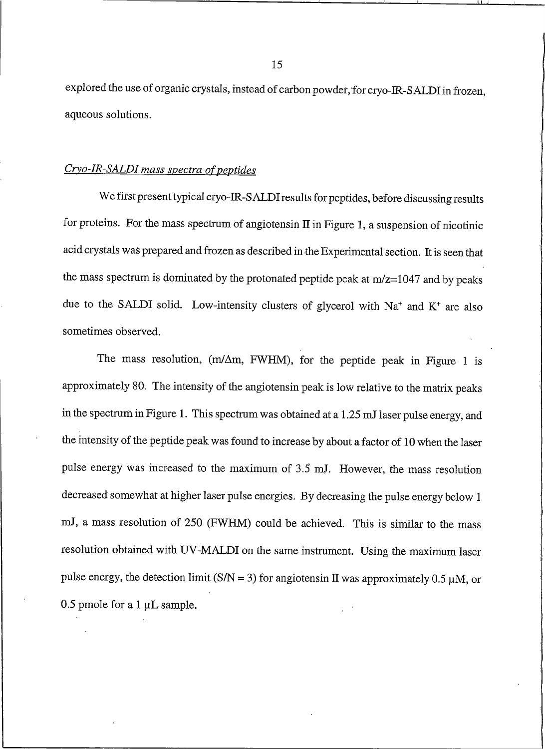explored the use of organic crystals, instead of carbon powder, for cryo-IR-SALDI in frozen, aqueous solutions.

#### Cryo-IR-SALDI mass spectra of peptides

We first present typical cryo-IR-SALDI results for peptides, before discussing results for proteins. For the mass spectrum of angiotensin  $\Pi$  in Figure 1, a suspension of nicotinic acid crystals was prepared and frozen as described in the Experimental section. It is seen that the mass spectrum is dominated by the protonated peptide peak at m/z=1047 and by peaks due to the SALDI solid. Low-intensity clusters of glycerol with Na<sup>+</sup> and K<sup>+</sup> are also sometimes observed.

The mass resolution, (m/ $\Delta$ m, FWHM), for the peptide peak in Figure 1 is approximately 80. The intensity of the angiotensin peak is low relative to the matrix peaks in the spectrum in Figure 1. This spectrum was obtained at a 1.25 mJ laser pulse energy, and the intensity of the peptide peak was found to increase by about a factor of 10 when the laser pulse energy was increased to the maximum of 3.5 mJ. However, the mass resolution decreased somewhat at higher laser pulse energies. By decreasing the pulse energy below 1 mJ, a mass resolution of 250 (FWHM) could be achieved. This is similar to the mass resolution obtained with UV-MALDI on the same instrument. Using the maximum laser pulse energy, the detection limit (S/N = 3) for angiotensin II was approximately 0.5  $\mu$ M, or 0.5 pmole for a 1  $\mu$ L sample.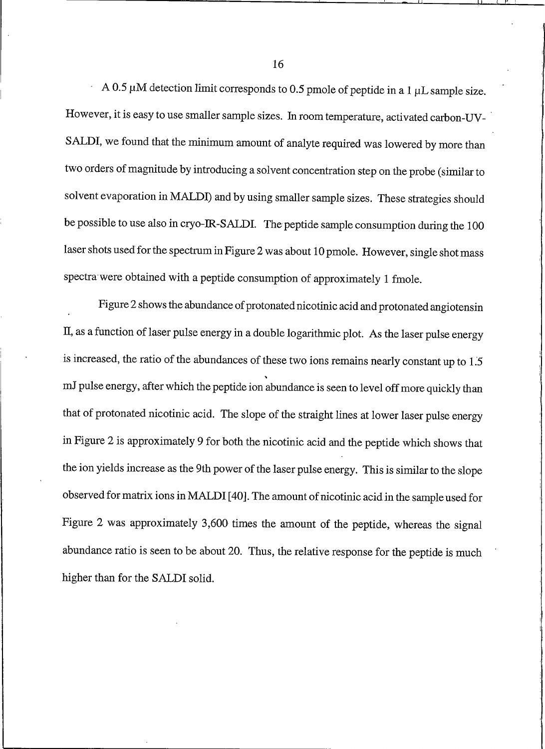A 0.5  $\mu$ M detection limit corresponds to 0.5 pmole of peptide in a 1  $\mu$ L sample size. However, it is easy to use smaller sample sizes. In room temperature, activated carbon-UV-SALDI, we found that the minimum amount of analyte required was lowered by more than two orders of magnitude by introducing a solvent concentration step on the probe (similar to solvent evaporation in MALDI) and by using smaller sample sizes. These strategies should be possible to use also in cryo-IR-SALDI. The peptide sample consumption during the 100 laser shots used for the spectrum in Figure 2 was about 10 pmole. However, single shot mass spectra were obtained with a peptide consumption of approximately 1 fmole.

Figure 2 shows the abundance of protonated nicotinic acid and protonated angiotensin II, as a function of laser pulse energy in a double logarithmic plot. As the laser pulse energy is increased, the ratio of the abundances of these two ions remains nearly constant up to 1.5 mJ pulse energy, after which the peptide ion abundance is seen to level off more quickly than that of protonated nicotinic acid. The slope of the straight lines at lower laser pulse energy in Figure 2 is approximately 9 for both the nicotinic acid and the peptide which shows that the ion yields increase as the 9th power of the laser pulse energy. This is similar to the slope observed for matrix ions in MALDI [40]. The amount of nicotinic acid in the sample used for Figure 2 was approximately 3,600 times the amount of the peptide, whereas the signal abundance ratio is seen to be about 20. Thus, the relative response for the peptide is much higher than for the SALDI solid.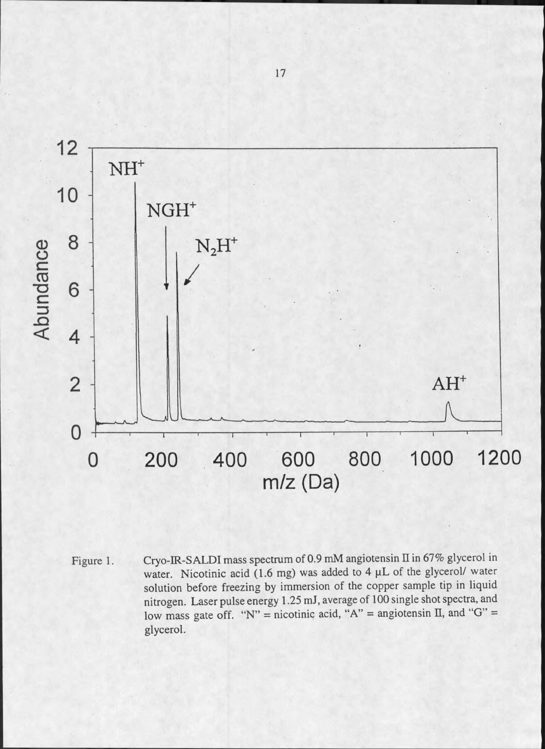

Cryo-IR-SALDI mass spectrum of 0.9 mM angiotensin II in 67% glycerol in Figure 1. water. Nicotinic acid (1.6 mg) was added to 4 µL of the glycerol/ water solution before freezing by immersion of the copper sample tip in liquid nitrogen. Laser pulse energy 1.25 mJ, average of 100 single shot spectra, and low mass gate off. "N" = nicotinic acid, "A" = angiotensin II, and "G" = glycerol.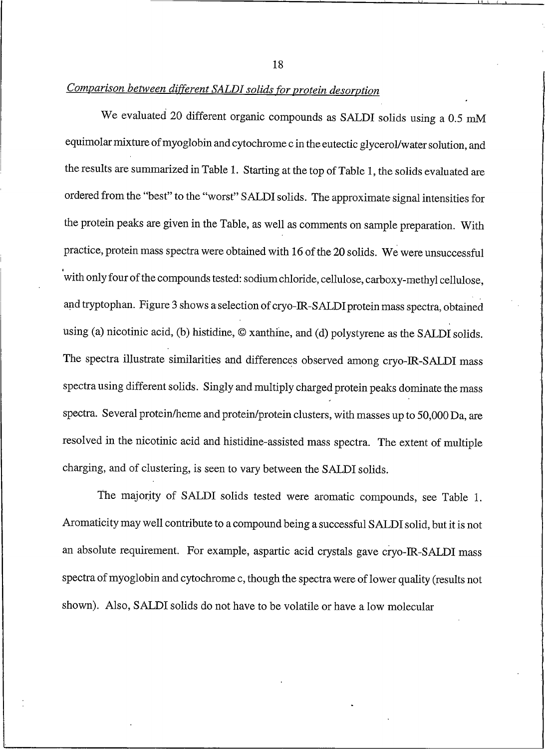Comparison between different SALDI solids for protein desorption

We evaluated 20 different organic compounds as SALDI solids using a 0.5 mM equimolar mixture of myoglobin and cytochrome c in the eutectic glycerol/water solution, and the results are summarized in Table 1. Starting at the top of Table 1, the solids evaluated are ordered from the "best" to the "worst" SALDI solids. The approximate signal intensities for the protein peaks are given in the Table, as well as comments on sample preparation. With practice, protein mass spectra were obtained with 16 of the 20 solids. We were unsuccessful with only four of the compounds tested: sodium chloride, cellulose, carboxy-methyl cellulose, and tryptophan. Figure 3 shows a selection of cryo-IR-SALDI protein mass spectra, obtained using (a) nicotinic acid, (b) histidine, © xanthine, and (d) polystyrene as the SALDI solids. The spectra illustrate similarities and differences observed among cryo-IR-SALDI mass spectra using different solids. Singly and multiply charged protein peaks dominate the mass spectra. Several protein/heme and protein/protein clusters, with masses up to 50,000 Da, are resolved in the nicotinic acid and histidine-assisted mass spectra. The extent of multiple charging, and of clustering, is seen to vary between the SALDI solids.

The majority of SALDI solids tested were aromatic compounds, see Table 1. Aromaticity may well contribute to a compound being a successful SALDI solid, but it is not an absolute requirement. For example, aspartic acid crystals gave cryo-IR-SALDI mass spectra of myoglobin and cytochrome c, though the spectra were of lower quality (results not shown). Also, SALDI solids do not have to be volatile or have a low molecular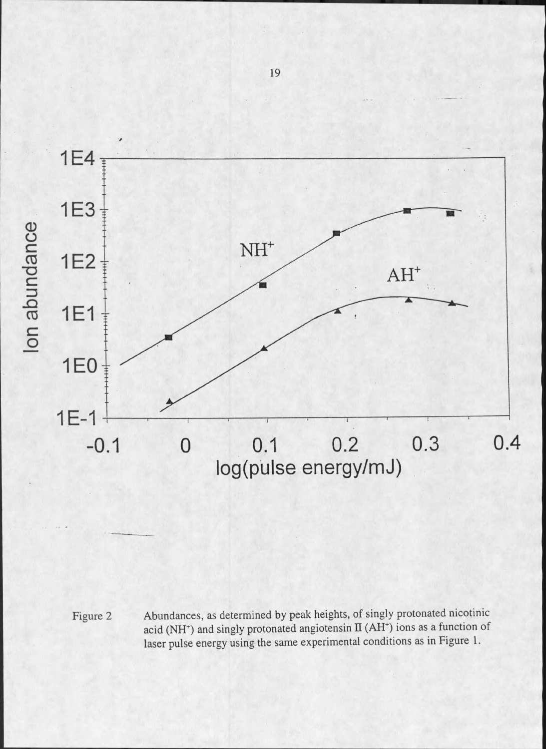

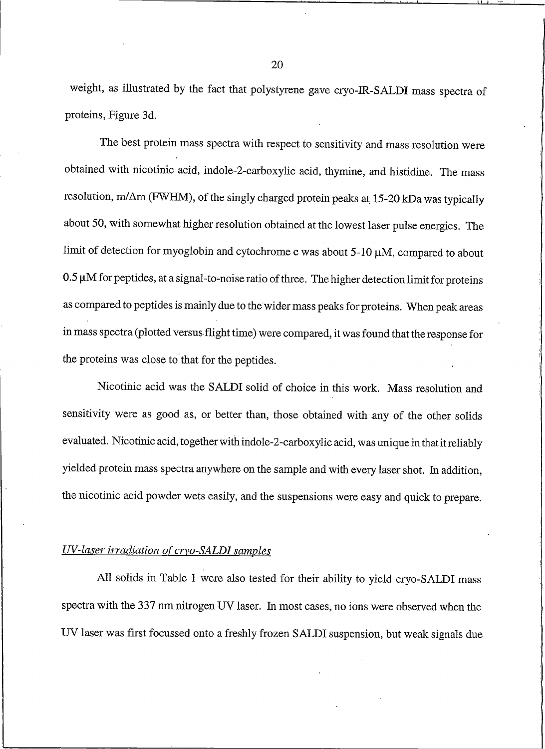weight, as illustrated by the fact that polystyrene gave cryo-IR-SALDI mass spectra of proteins, Figure 3d.

The best protein mass spectra with respect to sensitivity and mass resolution were obtained with nicotinic acid, indole-2-carboxylic acid, thymine, and histidine. The mass resolution, m/ $\Delta$ m (FWHM), of the singly charged protein peaks at 15-20 kDa was typically about 50, with somewhat higher resolution obtained at the lowest laser pulse energies. The limit of detection for myoglobin and cytochrome c was about  $5-10 \mu M$ , compared to about 0.5 µM for peptides, at a signal-to-noise ratio of three. The higher detection limit for proteins as compared to peptides is mainly due to the wider mass peaks for proteins. When peak areas in mass spectra (plotted versus flight time) were compared, it was found that the response for the proteins was close to that for the peptides.

Nicotinic acid was the SALDI solid of choice in this work. Mass resolution and sensitivity were as good as, or better than, those obtained with any of the other solids evaluated. Nicotinic acid, together with indole-2-carboxylic acid, was unique in that it reliably yielded protein mass spectra anywhere on the sample and with every laser shot. In addition, the nicotinic acid powder wets easily, and the suspensions were easy and quick to prepare.

#### UV-laser irradiation of cryo-SALDI samples

All solids in Table 1 were also tested for their ability to yield cryo-SALDI mass spectra with the 337 nm nitrogen UV laser. In most cases, no ions were observed when the UV laser was first focussed onto a freshly frozen SALDI suspension, but weak signals due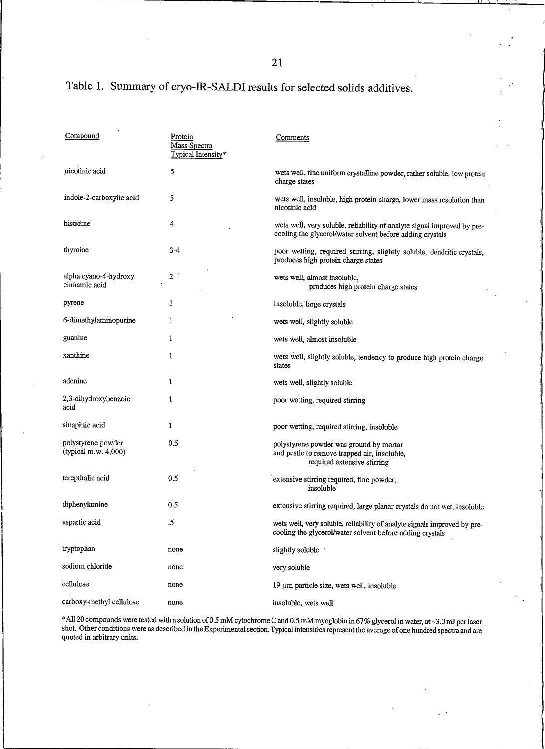## Table 1. Summary of cryo-IR-SALDI results for selected solids additives.

| Compound                                      | Protein<br>Mass Spectra<br>Typical Intensity* | Comments                                                                                                                              |
|-----------------------------------------------|-----------------------------------------------|---------------------------------------------------------------------------------------------------------------------------------------|
| nicotinic acid                                | 5                                             | wets well, fine uniform crystalline powder, rather soluble, low protein<br>charge states                                              |
| indole-2-carboxylic acid                      | 5                                             | wets well, insoluble, high protein charge, lower mass resolution than<br>nicotinic acid                                               |
| histidine                                     | 4                                             | wets well, very soluble, reliability of analyte signal improved by pre-<br>cooling the glycerol/water solvent before adding crystals  |
| thymine                                       | $3 - 4$                                       | poor wetting, required stirring, slightly soluble, dendritic crystals,<br>produces high protein charge states                         |
| alpha cyano-4-hydroxy<br>cinnamic acid        | $\overline{2}$                                | wets well, almost insoluble,<br>produces high protein charge states                                                                   |
| pyrene                                        | 1                                             | insoluble, large crystals                                                                                                             |
| 6-dimethylaminopurine                         | 1                                             | wets well, slightly soluble                                                                                                           |
| guanine                                       | 1                                             | wets well, almost insoluble                                                                                                           |
| xanthine                                      | 1                                             | wets well, slightly soluble, tendency to produce high protein charge<br>states                                                        |
| adenine                                       | 1                                             | wets well, slightly soluble                                                                                                           |
| 2,3-dihydroxybenzoic<br>acid                  | 1                                             | poor wetting, required stirring                                                                                                       |
| sinapinic acid                                | 1                                             | poor wetting, required stirring, insoluble                                                                                            |
| polystyrene powder<br>(typical $m.w. 4,000$ ) | 0.5                                           | polystyrene powder was ground by mortar<br>and pestle to remove trapped air, insoluble,<br>required extensive stirring                |
| terepthalic acid                              | 0.5                                           | extensive stirring required, fine powder,<br>insoluble                                                                                |
| diphenylamine                                 | 0.5                                           | extensive stirring required, large planar crystals do not wet, insoluble                                                              |
| aspartic acid                                 | .5                                            | wets well, very soluble, reliability of analyte signals improved by pre-<br>cooling the glycerol/water solvent before adding crystals |
| tryptophan                                    | none                                          | slightly soluble                                                                                                                      |
| sodium chloride                               | none                                          | very soluble                                                                                                                          |
| cellulose                                     | none                                          | 19 um particle size, wets well, insoluble                                                                                             |
| carboxy-methyl cellulose                      | none                                          | insoluble, wets well                                                                                                                  |

\*All 20 compounds were tested with a solution of 0.5 mM cytochrome C and 0.5 mM myoglobin in 67% glycerol in water, at ~3.0 mJ per laser shot. Other conditions were as described in the Experimental section. Typical intensi quoted in arbitrary units.